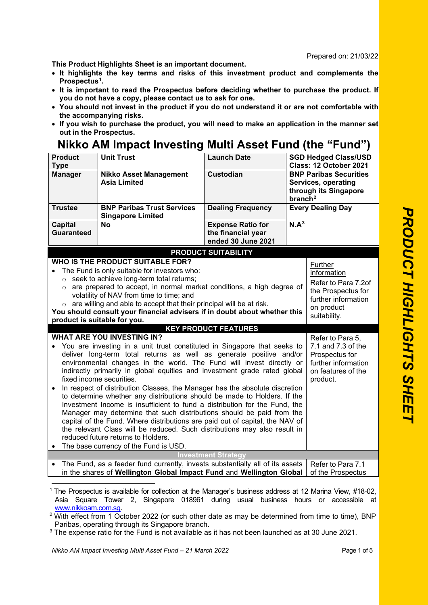Prepared on: 21/03/22

**This Product Highlights Sheet is an important document.**

- **It highlights the key terms and risks of this investment product and complements the Prospectus[1](#page-0-0).**
- **It is important to read the Prospectus before deciding whether to purchase the product. If you do not have a copy, please contact us to ask for one.**
- **You should not invest in the product if you do not understand it or are not comfortable with the accompanying risks.**
- **If you wish to purchase the product, you will need to make an application in the manner set out in the Prospectus.**

## **Nikko AM Impact Investing Multi Asset Fund (the "Fund")**

| <b>Product</b><br><b>Type</b>                                                                                                                                                                                                                                                                                                                                                                                                                                                                                                                                                                                                                                                                                                                                                                                                                                                                                                                                             | <b>Unit Trust</b>                                                                                                                                                                                                                                                                                                                                                                                                                                     | <b>Launch Date</b>                                                   |                     | <b>SGD Hedged Class/USD</b><br>Class: 12 October 2021                                                                    |
|---------------------------------------------------------------------------------------------------------------------------------------------------------------------------------------------------------------------------------------------------------------------------------------------------------------------------------------------------------------------------------------------------------------------------------------------------------------------------------------------------------------------------------------------------------------------------------------------------------------------------------------------------------------------------------------------------------------------------------------------------------------------------------------------------------------------------------------------------------------------------------------------------------------------------------------------------------------------------|-------------------------------------------------------------------------------------------------------------------------------------------------------------------------------------------------------------------------------------------------------------------------------------------------------------------------------------------------------------------------------------------------------------------------------------------------------|----------------------------------------------------------------------|---------------------|--------------------------------------------------------------------------------------------------------------------------|
| <b>Manager</b>                                                                                                                                                                                                                                                                                                                                                                                                                                                                                                                                                                                                                                                                                                                                                                                                                                                                                                                                                            | <b>Nikko Asset Management</b><br><b>Asia Limited</b>                                                                                                                                                                                                                                                                                                                                                                                                  | <b>Custodian</b>                                                     | branch <sup>2</sup> | <b>BNP Paribas Securities</b><br>Services, operating<br>through its Singapore                                            |
| <b>Trustee</b>                                                                                                                                                                                                                                                                                                                                                                                                                                                                                                                                                                                                                                                                                                                                                                                                                                                                                                                                                            | <b>BNP Paribas Trust Services</b><br><b>Singapore Limited</b>                                                                                                                                                                                                                                                                                                                                                                                         | <b>Dealing Frequency</b>                                             |                     | <b>Every Dealing Day</b>                                                                                                 |
| <b>Capital</b><br><b>Guaranteed</b>                                                                                                                                                                                                                                                                                                                                                                                                                                                                                                                                                                                                                                                                                                                                                                                                                                                                                                                                       | <b>No</b>                                                                                                                                                                                                                                                                                                                                                                                                                                             | <b>Expense Ratio for</b><br>the financial year<br>ended 30 June 2021 | N.A <sup>3</sup>    |                                                                                                                          |
| <b>PRODUCT SUITABILITY</b>                                                                                                                                                                                                                                                                                                                                                                                                                                                                                                                                                                                                                                                                                                                                                                                                                                                                                                                                                |                                                                                                                                                                                                                                                                                                                                                                                                                                                       |                                                                      |                     |                                                                                                                          |
| $\circ$<br>$\circ$                                                                                                                                                                                                                                                                                                                                                                                                                                                                                                                                                                                                                                                                                                                                                                                                                                                                                                                                                        | <b>WHO IS THE PRODUCT SUITABLE FOR?</b><br>The Fund is only suitable for investors who:<br>seek to achieve long-term total returns;<br>are prepared to accept, in normal market conditions, a high degree of<br>volatility of NAV from time to time; and<br>$\circ$ are willing and able to accept that their principal will be at risk.<br>You should consult your financial advisers if in doubt about whether this<br>product is suitable for you. |                                                                      |                     | Further<br>information<br>Refer to Para 7.2of<br>the Prospectus for<br>further information<br>on product<br>suitability. |
|                                                                                                                                                                                                                                                                                                                                                                                                                                                                                                                                                                                                                                                                                                                                                                                                                                                                                                                                                                           |                                                                                                                                                                                                                                                                                                                                                                                                                                                       | <b>KEY PRODUCT FEATURES</b>                                          |                     |                                                                                                                          |
| <b>WHAT ARE YOU INVESTING IN?</b><br>Refer to Para 5,<br>You are investing in a unit trust constituted in Singapore that seeks to<br>7.1 and 7.3 of the<br>deliver long-term total returns as well as generate positive and/or<br>Prospectus for<br>environmental changes in the world. The Fund will invest directly or<br>further information<br>indirectly primarily in global equities and investment grade rated global<br>on features of the<br>fixed income securities.<br>product.<br>In respect of distribution Classes, the Manager has the absolute discretion<br>to determine whether any distributions should be made to Holders. If the<br>Investment Income is insufficient to fund a distribution for the Fund, the<br>Manager may determine that such distributions should be paid from the<br>capital of the Fund. Where distributions are paid out of capital, the NAV of<br>the relevant Class will be reduced. Such distributions may also result in |                                                                                                                                                                                                                                                                                                                                                                                                                                                       |                                                                      |                     |                                                                                                                          |
|                                                                                                                                                                                                                                                                                                                                                                                                                                                                                                                                                                                                                                                                                                                                                                                                                                                                                                                                                                           | reduced future returns to Holders.<br>The base currency of the Fund is USD.                                                                                                                                                                                                                                                                                                                                                                           |                                                                      |                     |                                                                                                                          |
|                                                                                                                                                                                                                                                                                                                                                                                                                                                                                                                                                                                                                                                                                                                                                                                                                                                                                                                                                                           |                                                                                                                                                                                                                                                                                                                                                                                                                                                       | <b>Investment Strategy</b>                                           |                     |                                                                                                                          |
| $\bullet$                                                                                                                                                                                                                                                                                                                                                                                                                                                                                                                                                                                                                                                                                                                                                                                                                                                                                                                                                                 | The Fund, as a feeder fund currently, invests substantially all of its assets<br>in the shares of Wellington Global Impact Fund and Wellington Global                                                                                                                                                                                                                                                                                                 |                                                                      |                     | Refer to Para 7.1<br>of the Prospectus                                                                                   |

<span id="page-0-0"></span><sup>1</sup> The Prospectus is available for collection at the Manager's business address at 12 Marina View, #18-02, Asia Square Tower 2, Singapore 018961 during usual business hours or accessible at www.nikkoam.com.sg.

<span id="page-0-1"></span> $2$  With effect from 1 October 2022 (or such other date as may be determined from time to time), BNP Paribas, operating through its Singapore branch.

<span id="page-0-2"></span><sup>&</sup>lt;sup>3</sup> The expense ratio for the Fund is not available as it has not been launched as at 30 June 2021.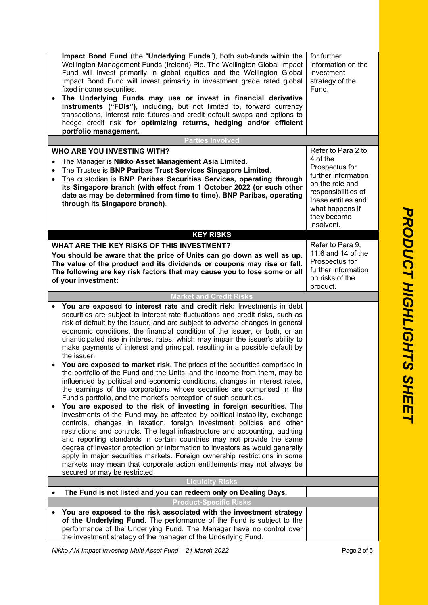| Impact Bond Fund (the "Underlying Funds"), both sub-funds within the<br>Wellington Management Funds (Ireland) Plc. The Wellington Global Impact<br>Fund will invest primarily in global equities and the Wellington Global<br>Impact Bond Fund will invest primarily in investment grade rated global<br>fixed income securities.<br>The Underlying Funds may use or invest in financial derivative<br>$\bullet$<br>instruments ("FDIs"), including, but not limited to, forward currency<br>transactions, interest rate futures and credit default swaps and options to<br>hedge credit risk for optimizing returns, hedging and/or efficient<br>portfolio management. | for further<br>information on the<br>investment<br>strategy of the<br>Fund.                                                                                       |
|-------------------------------------------------------------------------------------------------------------------------------------------------------------------------------------------------------------------------------------------------------------------------------------------------------------------------------------------------------------------------------------------------------------------------------------------------------------------------------------------------------------------------------------------------------------------------------------------------------------------------------------------------------------------------|-------------------------------------------------------------------------------------------------------------------------------------------------------------------|
| <b>Parties Involved</b>                                                                                                                                                                                                                                                                                                                                                                                                                                                                                                                                                                                                                                                 |                                                                                                                                                                   |
| <b>WHO ARE YOU INVESTING WITH?</b>                                                                                                                                                                                                                                                                                                                                                                                                                                                                                                                                                                                                                                      | Refer to Para 2 to                                                                                                                                                |
| The Manager is Nikko Asset Management Asia Limited.<br>The Trustee is BNP Paribas Trust Services Singapore Limited.<br>$\bullet$<br>The custodian is BNP Paribas Securities Services, operating through<br>$\bullet$<br>its Singapore branch (with effect from 1 October 2022 (or such other<br>date as may be determined from time to time), BNP Paribas, operating<br>through its Singapore branch).                                                                                                                                                                                                                                                                  | 4 of the<br>Prospectus for<br>further information<br>on the role and<br>responsibilities of<br>these entities and<br>what happens if<br>they become<br>insolvent. |
| <b>KEY RISKS</b>                                                                                                                                                                                                                                                                                                                                                                                                                                                                                                                                                                                                                                                        |                                                                                                                                                                   |
| WHAT ARE THE KEY RISKS OF THIS INVESTMENT?<br>You should be aware that the price of Units can go down as well as up.<br>The value of the product and its dividends or coupons may rise or fall.<br>The following are key risk factors that may cause you to lose some or all<br>of your investment:                                                                                                                                                                                                                                                                                                                                                                     | Refer to Para 9,<br>11.6 and 14 of the<br>Prospectus for<br>further information<br>on risks of the<br>product.                                                    |
| <b>Market and Credit Risks</b>                                                                                                                                                                                                                                                                                                                                                                                                                                                                                                                                                                                                                                          |                                                                                                                                                                   |
| You are exposed to interest rate and credit risk: Investments in debt<br>$\bullet$<br>securities are subject to interest rate fluctuations and credit risks, such as<br>risk of default by the issuer, and are subject to adverse changes in general<br>economic conditions, the financial condition of the issuer, or both, or an<br>unanticipated rise in interest rates, which may impair the issuer's ability to<br>make payments of interest and principal, resulting in a possible default by<br>the issuer.                                                                                                                                                      |                                                                                                                                                                   |
| You are exposed to market risk. The prices of the securities comprised in<br>the portfolio of the Fund and the Units, and the income from them, may be<br>influenced by political and economic conditions, changes in interest rates,<br>the earnings of the corporations whose securities are comprised in the<br>Fund's portfolio, and the market's perception of such securities.                                                                                                                                                                                                                                                                                    |                                                                                                                                                                   |
| You are exposed to the risk of investing in foreign securities. The<br>$\bullet$<br>investments of the Fund may be affected by political instability, exchange<br>controls, changes in taxation, foreign investment policies and other<br>restrictions and controls. The legal infrastructure and accounting, auditing<br>and reporting standards in certain countries may not provide the same<br>degree of investor protection or information to investors as would generally<br>apply in major securities markets. Foreign ownership restrictions in some<br>markets may mean that corporate action entitlements may not always be<br>secured or may be restricted.  |                                                                                                                                                                   |
| <b>Liquidity Risks</b>                                                                                                                                                                                                                                                                                                                                                                                                                                                                                                                                                                                                                                                  |                                                                                                                                                                   |
| The Fund is not listed and you can redeem only on Dealing Days.<br>$\bullet$                                                                                                                                                                                                                                                                                                                                                                                                                                                                                                                                                                                            |                                                                                                                                                                   |
| <b>Product-Specific Risks</b>                                                                                                                                                                                                                                                                                                                                                                                                                                                                                                                                                                                                                                           |                                                                                                                                                                   |
| You are exposed to the risk associated with the investment strategy<br>of the Underlying Fund. The performance of the Fund is subject to the<br>performance of the Underlying Fund. The Manager have no control over<br>the investment strategy of the manager of the Underlying Fund.                                                                                                                                                                                                                                                                                                                                                                                  |                                                                                                                                                                   |

PRODUCT HIGHLIGHTS SHEET *PRODUCT HIGHLIGHTS SHEET*

*Nikko AM Impact Investing Multi Asset Fund – 21 March 2022* Page 2 of 5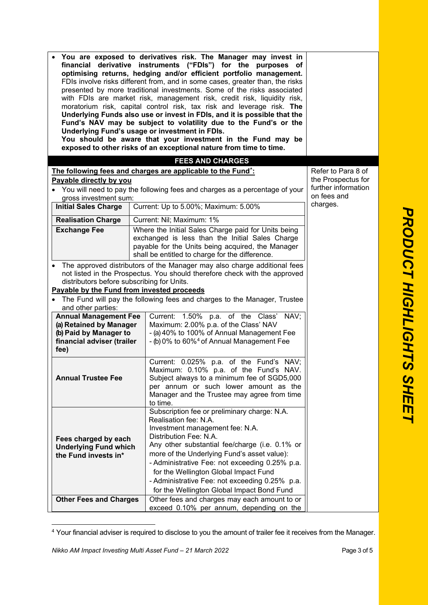|                                                      | You are exposed to derivatives risk. The Manager may invest in<br>financial derivative instruments ("FDIs") for the purposes of<br>optimising returns, hedging and/or efficient portfolio management.<br>FDIs involve risks different from, and in some cases, greater than, the risks<br>presented by more traditional investments. Some of the risks associated<br>with FDIs are market risk, management risk, credit risk, liquidity risk,<br>moratorium risk, capital control risk, tax risk and leverage risk. The<br>Underlying Funds also use or invest in FDIs, and it is possible that the<br>Fund's NAV may be subject to volatility due to the Fund's or the<br>Underlying Fund's usage or investment in FDIs.<br>You should be aware that your investment in the Fund may be<br>exposed to other risks of an exceptional nature from time to time.<br><b>FEES AND CHARGES</b> |                    |
|------------------------------------------------------|-------------------------------------------------------------------------------------------------------------------------------------------------------------------------------------------------------------------------------------------------------------------------------------------------------------------------------------------------------------------------------------------------------------------------------------------------------------------------------------------------------------------------------------------------------------------------------------------------------------------------------------------------------------------------------------------------------------------------------------------------------------------------------------------------------------------------------------------------------------------------------------------|--------------------|
|                                                      | The following fees and charges are applicable to the Fund <sup>*</sup> :                                                                                                                                                                                                                                                                                                                                                                                                                                                                                                                                                                                                                                                                                                                                                                                                                  | Refer to Para 8 of |
| Payable directly by you                              |                                                                                                                                                                                                                                                                                                                                                                                                                                                                                                                                                                                                                                                                                                                                                                                                                                                                                           | the Prospectus for |
|                                                      | further information                                                                                                                                                                                                                                                                                                                                                                                                                                                                                                                                                                                                                                                                                                                                                                                                                                                                       |                    |
| gross investment sum:                                | You will need to pay the following fees and charges as a percentage of your                                                                                                                                                                                                                                                                                                                                                                                                                                                                                                                                                                                                                                                                                                                                                                                                               | on fees and        |
| <b>Initial Sales Charge</b>                          | Current: Up to 5.00%; Maximum: 5.00%                                                                                                                                                                                                                                                                                                                                                                                                                                                                                                                                                                                                                                                                                                                                                                                                                                                      | charges.           |
|                                                      |                                                                                                                                                                                                                                                                                                                                                                                                                                                                                                                                                                                                                                                                                                                                                                                                                                                                                           |                    |
| <b>Realisation Charge</b>                            | Current: Nil; Maximum: 1%                                                                                                                                                                                                                                                                                                                                                                                                                                                                                                                                                                                                                                                                                                                                                                                                                                                                 |                    |
| <b>Exchange Fee</b>                                  | Where the Initial Sales Charge paid for Units being                                                                                                                                                                                                                                                                                                                                                                                                                                                                                                                                                                                                                                                                                                                                                                                                                                       |                    |
|                                                      | exchanged is less than the Initial Sales Charge                                                                                                                                                                                                                                                                                                                                                                                                                                                                                                                                                                                                                                                                                                                                                                                                                                           |                    |
|                                                      | payable for the Units being acquired, the Manager                                                                                                                                                                                                                                                                                                                                                                                                                                                                                                                                                                                                                                                                                                                                                                                                                                         |                    |
|                                                      | shall be entitled to charge for the difference.                                                                                                                                                                                                                                                                                                                                                                                                                                                                                                                                                                                                                                                                                                                                                                                                                                           |                    |
|                                                      | The approved distributors of the Manager may also charge additional fees                                                                                                                                                                                                                                                                                                                                                                                                                                                                                                                                                                                                                                                                                                                                                                                                                  |                    |
| distributors before subscribing for Units.           | not listed in the Prospectus. You should therefore check with the approved                                                                                                                                                                                                                                                                                                                                                                                                                                                                                                                                                                                                                                                                                                                                                                                                                |                    |
| Payable by the Fund from invested proceeds           |                                                                                                                                                                                                                                                                                                                                                                                                                                                                                                                                                                                                                                                                                                                                                                                                                                                                                           |                    |
|                                                      | The Fund will pay the following fees and charges to the Manager, Trustee                                                                                                                                                                                                                                                                                                                                                                                                                                                                                                                                                                                                                                                                                                                                                                                                                  |                    |
| and other parties:                                   |                                                                                                                                                                                                                                                                                                                                                                                                                                                                                                                                                                                                                                                                                                                                                                                                                                                                                           |                    |
| <b>Annual Management Fee</b>                         | Current: 1.50% p.a. of the Class' NAV;                                                                                                                                                                                                                                                                                                                                                                                                                                                                                                                                                                                                                                                                                                                                                                                                                                                    |                    |
| (a) Retained by Manager                              | Maximum: 2.00% p.a. of the Class' NAV                                                                                                                                                                                                                                                                                                                                                                                                                                                                                                                                                                                                                                                                                                                                                                                                                                                     |                    |
| (b) Paid by Manager to                               | - (a) 40% to 100% of Annual Management Fee                                                                                                                                                                                                                                                                                                                                                                                                                                                                                                                                                                                                                                                                                                                                                                                                                                                |                    |
| financial adviser (trailer                           | - (b) 0% to 60% <sup>4</sup> of Annual Management Fee                                                                                                                                                                                                                                                                                                                                                                                                                                                                                                                                                                                                                                                                                                                                                                                                                                     |                    |
| fee)                                                 |                                                                                                                                                                                                                                                                                                                                                                                                                                                                                                                                                                                                                                                                                                                                                                                                                                                                                           |                    |
|                                                      | Current: 0.025% p.a. of the Fund's NAV;                                                                                                                                                                                                                                                                                                                                                                                                                                                                                                                                                                                                                                                                                                                                                                                                                                                   |                    |
|                                                      | Maximum: 0.10% p.a. of the Fund's NAV.                                                                                                                                                                                                                                                                                                                                                                                                                                                                                                                                                                                                                                                                                                                                                                                                                                                    |                    |
| <b>Annual Trustee Fee</b>                            | Subject always to a minimum fee of SGD5,000                                                                                                                                                                                                                                                                                                                                                                                                                                                                                                                                                                                                                                                                                                                                                                                                                                               |                    |
|                                                      | per annum or such lower amount as the                                                                                                                                                                                                                                                                                                                                                                                                                                                                                                                                                                                                                                                                                                                                                                                                                                                     |                    |
|                                                      | Manager and the Trustee may agree from time                                                                                                                                                                                                                                                                                                                                                                                                                                                                                                                                                                                                                                                                                                                                                                                                                                               |                    |
|                                                      | to time.<br>Subscription fee or preliminary charge: N.A.                                                                                                                                                                                                                                                                                                                                                                                                                                                                                                                                                                                                                                                                                                                                                                                                                                  |                    |
|                                                      | Realisation fee: N.A.                                                                                                                                                                                                                                                                                                                                                                                                                                                                                                                                                                                                                                                                                                                                                                                                                                                                     |                    |
|                                                      | Investment management fee: N.A.                                                                                                                                                                                                                                                                                                                                                                                                                                                                                                                                                                                                                                                                                                                                                                                                                                                           |                    |
|                                                      | Distribution Fee: N.A.                                                                                                                                                                                                                                                                                                                                                                                                                                                                                                                                                                                                                                                                                                                                                                                                                                                                    |                    |
| Fees charged by each<br><b>Underlying Fund which</b> | Any other substantial fee/charge (i.e. 0.1% or                                                                                                                                                                                                                                                                                                                                                                                                                                                                                                                                                                                                                                                                                                                                                                                                                                            |                    |
| the Fund invests in*                                 | more of the Underlying Fund's asset value):                                                                                                                                                                                                                                                                                                                                                                                                                                                                                                                                                                                                                                                                                                                                                                                                                                               |                    |
|                                                      | - Administrative Fee: not exceeding 0.25% p.a.                                                                                                                                                                                                                                                                                                                                                                                                                                                                                                                                                                                                                                                                                                                                                                                                                                            |                    |
|                                                      | for the Wellington Global Impact Fund                                                                                                                                                                                                                                                                                                                                                                                                                                                                                                                                                                                                                                                                                                                                                                                                                                                     |                    |
|                                                      | - Administrative Fee: not exceeding 0.25% p.a.                                                                                                                                                                                                                                                                                                                                                                                                                                                                                                                                                                                                                                                                                                                                                                                                                                            |                    |
|                                                      | for the Wellington Global Impact Bond Fund                                                                                                                                                                                                                                                                                                                                                                                                                                                                                                                                                                                                                                                                                                                                                                                                                                                |                    |
| <b>Other Fees and Charges</b>                        | Other fees and charges may each amount to or                                                                                                                                                                                                                                                                                                                                                                                                                                                                                                                                                                                                                                                                                                                                                                                                                                              |                    |
|                                                      | exceed 0.10% per annum, depending on the                                                                                                                                                                                                                                                                                                                                                                                                                                                                                                                                                                                                                                                                                                                                                                                                                                                  |                    |

<span id="page-2-0"></span><sup>&</sup>lt;sup>4</sup> Your financial adviser is required to disclose to you the amount of trailer fee it receives from the Manager.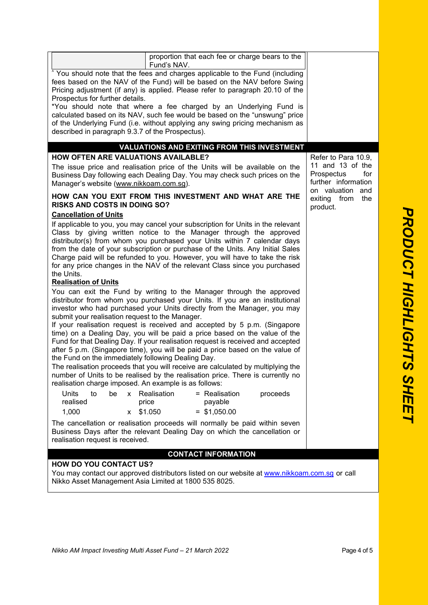| proportion that each fee or charge bears to the<br>Fund's NAV.                                                                                                                                                                                                                                                                                                                                                                                                                                   |                                                              |
|--------------------------------------------------------------------------------------------------------------------------------------------------------------------------------------------------------------------------------------------------------------------------------------------------------------------------------------------------------------------------------------------------------------------------------------------------------------------------------------------------|--------------------------------------------------------------|
| <sup>^</sup> You should note that the fees and charges applicable to the Fund (including<br>fees based on the NAV of the Fund) will be based on the NAV before Swing                                                                                                                                                                                                                                                                                                                             |                                                              |
| Pricing adjustment (if any) is applied. Please refer to paragraph 20.10 of the                                                                                                                                                                                                                                                                                                                                                                                                                   |                                                              |
| Prospectus for further details.<br>*You should note that where a fee charged by an Underlying Fund is                                                                                                                                                                                                                                                                                                                                                                                            |                                                              |
| calculated based on its NAV, such fee would be based on the "unswung" price                                                                                                                                                                                                                                                                                                                                                                                                                      |                                                              |
| of the Underlying Fund (i.e. without applying any swing pricing mechanism as<br>described in paragraph 9.3.7 of the Prospectus).                                                                                                                                                                                                                                                                                                                                                                 |                                                              |
| <b>VALUATIONS AND EXITING FROM THIS INVESTMENT</b>                                                                                                                                                                                                                                                                                                                                                                                                                                               |                                                              |
| <b>HOW OFTEN ARE VALUATIONS AVAILABLE?</b>                                                                                                                                                                                                                                                                                                                                                                                                                                                       | Refer to Para 10.9,                                          |
| The issue price and realisation price of the Units will be available on the<br>Business Day following each Dealing Day. You may check such prices on the<br>Manager's website (www.nikkoam.com.sg).                                                                                                                                                                                                                                                                                              | 11 and 13 of the<br>Prospectus<br>for<br>further information |
| HOW CAN YOU EXIT FROM THIS INVESTMENT AND WHAT ARE THE<br><b>RISKS AND COSTS IN DOING SO?</b>                                                                                                                                                                                                                                                                                                                                                                                                    | on valuation and<br>exiting from<br>the<br>product.          |
| <b>Cancellation of Units</b>                                                                                                                                                                                                                                                                                                                                                                                                                                                                     |                                                              |
| If applicable to you, you may cancel your subscription for Units in the relevant<br>Class by giving written notice to the Manager through the approved<br>distributor(s) from whom you purchased your Units within 7 calendar days<br>from the date of your subscription or purchase of the Units. Any Initial Sales<br>Charge paid will be refunded to you. However, you will have to take the risk<br>for any price changes in the NAV of the relevant Class since you purchased<br>the Units. |                                                              |
| <b>Realisation of Units</b>                                                                                                                                                                                                                                                                                                                                                                                                                                                                      |                                                              |
| You can exit the Fund by writing to the Manager through the approved<br>distributor from whom you purchased your Units. If you are an institutional<br>investor who had purchased your Units directly from the Manager, you may<br>submit your realisation request to the Manager.                                                                                                                                                                                                               |                                                              |
| If your realisation request is received and accepted by 5 p.m. (Singapore                                                                                                                                                                                                                                                                                                                                                                                                                        |                                                              |
| time) on a Dealing Day, you will be paid a price based on the value of the<br>Fund for that Dealing Day. If your realisation request is received and accepted<br>after 5 p.m. (Singapore time), you will be paid a price based on the value of<br>the Fund on the immediately following Dealing Day.                                                                                                                                                                                             |                                                              |
| The realisation proceeds that you will receive are calculated by multiplying the<br>number of Units to be realised by the realisation price. There is currently no<br>realisation charge imposed. An example is as follows:                                                                                                                                                                                                                                                                      |                                                              |
| <b>Units</b><br>Realisation<br>= Realisation<br>to<br>be<br>proceeds<br>$\mathsf{X}$<br>realised<br>price<br>payable<br>\$1.050<br>$=$ \$1,050.00<br>1,000<br>$\mathsf{x}$                                                                                                                                                                                                                                                                                                                       |                                                              |
| The cancellation or realisation proceeds will normally be paid within seven                                                                                                                                                                                                                                                                                                                                                                                                                      |                                                              |
| Business Days after the relevant Dealing Day on which the cancellation or<br>realisation request is received.                                                                                                                                                                                                                                                                                                                                                                                    |                                                              |
| <b>CONTACT INFORMATION</b>                                                                                                                                                                                                                                                                                                                                                                                                                                                                       |                                                              |
| <b>HOW DO YOU CONTACT US?</b>                                                                                                                                                                                                                                                                                                                                                                                                                                                                    |                                                              |
| You may contact our approved distributors listed on our website at www.nikkoam.com.sg or call<br>Nikko Asset Management Asia Limited at 1800 535 8025.                                                                                                                                                                                                                                                                                                                                           |                                                              |